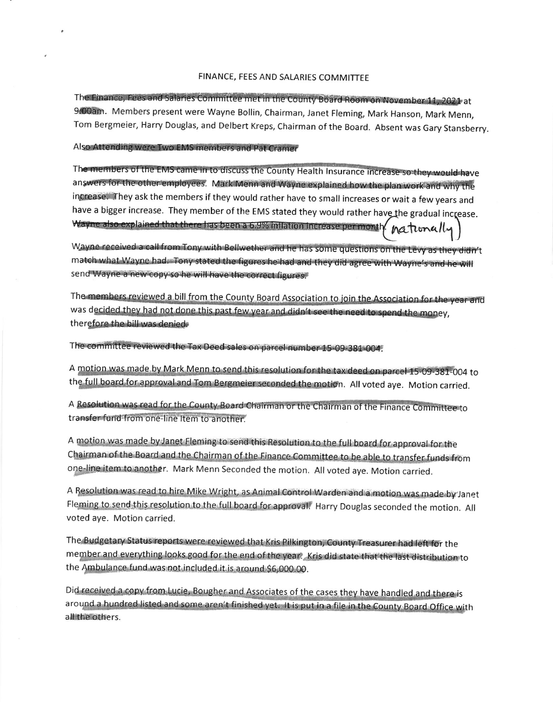## FINANCE, FEES AND SALARIES COMMITTEE

The Finance, Fees and Salaries Committee met in the County Board Room on November 11, 2021 at 9.00am. Members present were Wayne Bollin, Chairman, Janet Fleming, Mark Hanson, Mark Menn, Tom Bergmeier, Harry Douglas, and Delbert Kreps, Chairman of the Board. Absent was Gary Stansberry.

Also Attending were Two EMS members and Pat Cramer

The members of the EMS came in to discuss the County Health Insurance increase so they would have answers for the other employees. Mark Menn and Wayne explained how the plan work and why the increase. They ask the members if they would rather have to small increases or wait a few years and have a bigger increase. They member of the EMS stated they would rather have the gradual increase. Wayne also explained that there has been a 6.9% inflation increase per month nationally

Wayne received a call from Tony with Bellwether and he has some questions on the Levy as they didn't match what Wayne had. Tony stated the figures he had and they did agree with Wayne's and he will send Wayne a new copy so he will have the correct figures.

The members reviewed a bill from the County Board Association to join the Association for the year and was decided they had not done this past few year and didn't see the need to spend the money, therefore the bill was denied.

The committee reviewed the Tax Deed sales on parcel number 15-09-381-004.

A motion was made by Mark Menn to send this resolution for the tax deed on parcel 15-09-381-004 to the full board for approval and Tom Bergmeier seconded the motion. All voted aye. Motion carried.

A Resolution was read for the County Board Chairman or the Chairman of the Finance Committee to transfer fund from one-line Item to another

A motion was made by Janet Fleming to send this Resolution to the full board for approval for the Chairman of the Board and the Chairman of the Finance Committee to be able to transfer funds from one-line item to another. Mark Menn Seconded the motion. All voted aye. Motion carried.

A Resolution was read to hire Mike Wright, as Animal Control Warden and a motion was made by Janet Fleming to send this resolution to the full board for approval. Harry Douglas seconded the motion. All voted aye. Motion carried.

The Budgetary Status reports were reviewed that Kris Pilkington, County Treasurer had left for the member and everything looks good for the end of the year. Kris did state that the last distribution to the Ambulance fund was not included it is around \$6,000.00.

Did received a copy from Lucie, Bougher and Associates of the cases they have handled and there is around a hundred listed and some aren't finished yet. It is put in a file in the County Board Office with all the others.